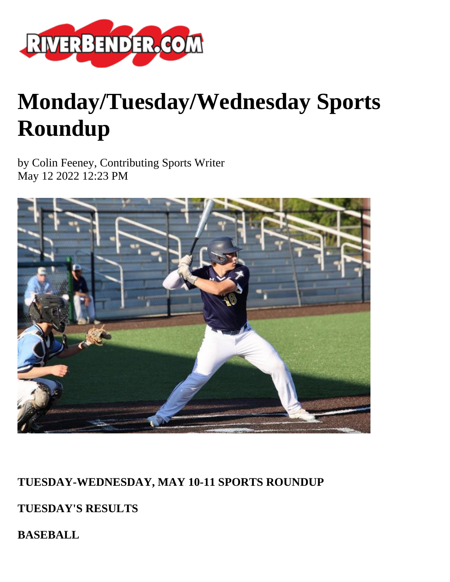

# **Monday/Tuesday/Wednesday Sports Roundup**

by Colin Feeney, Contributing Sports Writer May 12 2022 12:23 PM



## **TUESDAY-WEDNESDAY, MAY 10-11 SPORTS ROUNDUP**

**TUESDAY'S RESULTS**

**BASEBALL**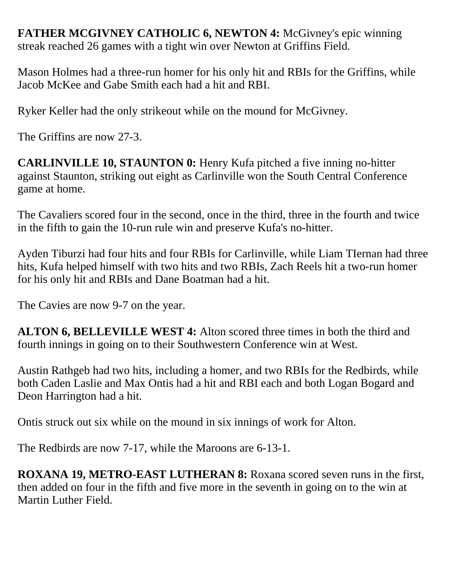**FATHER MCGIVNEY CATHOLIC 6, NEWTON 4: McGivney's epic winning** streak reached 26 games with a tight win over Newton at Griffins Field.

Mason Holmes had a three-run homer for his only hit and RBIs for the Griffins, while Jacob McKee and Gabe Smith each had a hit and RBI.

Ryker Keller had the only strikeout while on the mound for McGivney.

The Griffins are now 27-3.

**CARLINVILLE 10, STAUNTON 0:** Henry Kufa pitched a five inning no-hitter against Staunton, striking out eight as Carlinville won the South Central Conference game at home.

The Cavaliers scored four in the second, once in the third, three in the fourth and twice in the fifth to gain the 10-run rule win and preserve Kufa's no-hitter.

Ayden Tiburzi had four hits and four RBIs for Carlinville, while Liam TIernan had three hits, Kufa helped himself with two hits and two RBIs, Zach Reels hit a two-run homer for his only hit and RBIs and Dane Boatman had a hit.

The Cavies are now 9-7 on the year.

**ALTON 6, BELLEVILLE WEST 4:** Alton scored three times in both the third and fourth innings in going on to their Southwestern Conference win at West.

Austin Rathgeb had two hits, including a homer, and two RBIs for the Redbirds, while both Caden Laslie and Max Ontis had a hit and RBI each and both Logan Bogard and Deon Harrington had a hit.

Ontis struck out six while on the mound in six innings of work for Alton.

The Redbirds are now 7-17, while the Maroons are 6-13-1.

**ROXANA 19, METRO-EAST LUTHERAN 8:** Roxana scored seven runs in the first, then added on four in the fifth and five more in the seventh in going on to the win at Martin Luther Field.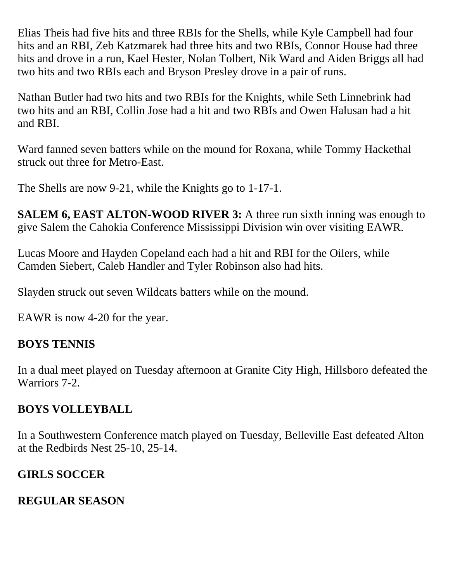Elias Theis had five hits and three RBIs for the Shells, while Kyle Campbell had four hits and an RBI, Zeb Katzmarek had three hits and two RBIs, Connor House had three hits and drove in a run, Kael Hester, Nolan Tolbert, Nik Ward and Aiden Briggs all had two hits and two RBIs each and Bryson Presley drove in a pair of runs.

Nathan Butler had two hits and two RBIs for the Knights, while Seth Linnebrink had two hits and an RBI, Collin Jose had a hit and two RBIs and Owen Halusan had a hit and RBI.

Ward fanned seven batters while on the mound for Roxana, while Tommy Hackethal struck out three for Metro-East.

The Shells are now 9-21, while the Knights go to 1-17-1.

**SALEM 6, EAST ALTON-WOOD RIVER 3:** A three run sixth inning was enough to give Salem the Cahokia Conference Mississippi Division win over visiting EAWR.

Lucas Moore and Hayden Copeland each had a hit and RBI for the Oilers, while Camden Siebert, Caleb Handler and Tyler Robinson also had hits.

Slayden struck out seven Wildcats batters while on the mound.

EAWR is now 4-20 for the year.

#### **BOYS TENNIS**

In a dual meet played on Tuesday afternoon at Granite City High, Hillsboro defeated the Warriors 7-2.

#### **BOYS VOLLEYBALL**

In a Southwestern Conference match played on Tuesday, Belleville East defeated Alton at the Redbirds Nest 25-10, 25-14.

#### **GIRLS SOCCER**

#### **REGULAR SEASON**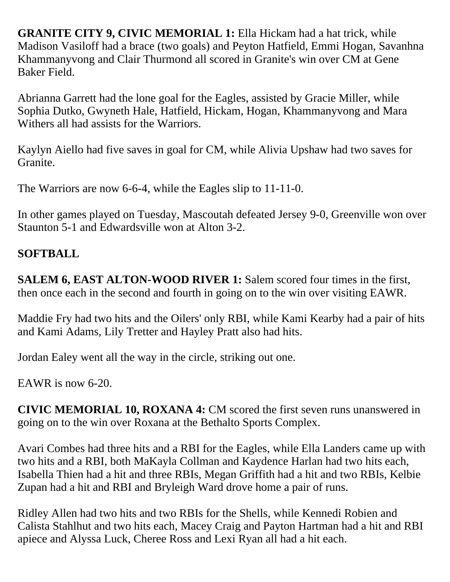**GRANITE CITY 9, CIVIC MEMORIAL 1:** Ella Hickam had a hat trick, while Madison Vasiloff had a brace (two goals) and Peyton Hatfield, Emmi Hogan, Savanhna Khammanyvong and Clair Thurmond all scored in Granite's win over CM at Gene Baker Field.

Abrianna Garrett had the lone goal for the Eagles, assisted by Gracie Miller, while Sophia Dutko, Gwyneth Hale, Hatfield, Hickam, Hogan, Khammanyvong and Mara Withers all had assists for the Warriors.

Kaylyn Aiello had five saves in goal for CM, while Alivia Upshaw had two saves for Granite.

The Warriors are now 6-6-4, while the Eagles slip to 11-11-0.

In other games played on Tuesday, Mascoutah defeated Jersey 9-0, Greenville won over Staunton 5-1 and Edwardsville won at Alton 3-2.

## **SOFTBALL**

**SALEM 6, EAST ALTON-WOOD RIVER 1:** Salem scored four times in the first, then once each in the second and fourth in going on to the win over visiting EAWR.

Maddie Fry had two hits and the Oilers' only RBI, while Kami Kearby had a pair of hits and Kami Adams, Lily Tretter and Hayley Pratt also had hits.

Jordan Ealey went all the way in the circle, striking out one.

EAWR is now 6-20.

**CIVIC MEMORIAL 10, ROXANA 4:** CM scored the first seven runs unanswered in going on to the win over Roxana at the Bethalto Sports Complex.

Avari Combes had three hits and a RBI for the Eagles, while Ella Landers came up with two hits and a RBI, both MaKayla Collman and Kaydence Harlan had two hits each, Isabella Thien had a hit and three RBIs, Megan Griffith had a hit and two RBIs, Kelbie Zupan had a hit and RBI and Bryleigh Ward drove home a pair of runs.

Ridley Allen had two hits and two RBIs for the Shells, while Kennedi Robien and Calista Stahlhut and two hits each, Macey Craig and Payton Hartman had a hit and RBI apiece and Alyssa Luck, Cheree Ross and Lexi Ryan all had a hit each.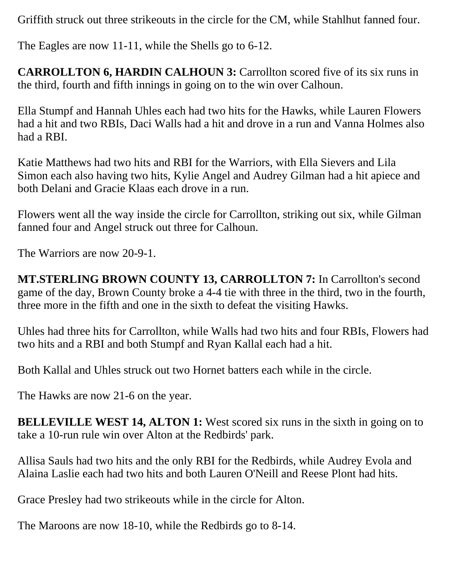Griffith struck out three strikeouts in the circle for the CM, while Stahlhut fanned four.

The Eagles are now 11-11, while the Shells go to 6-12.

**CARROLLTON 6, HARDIN CALHOUN 3: Carrollton scored five of its six runs in** the third, fourth and fifth innings in going on to the win over Calhoun.

Ella Stumpf and Hannah Uhles each had two hits for the Hawks, while Lauren Flowers had a hit and two RBIs, Daci Walls had a hit and drove in a run and Vanna Holmes also had a RBI.

Katie Matthews had two hits and RBI for the Warriors, with Ella Sievers and Lila Simon each also having two hits, Kylie Angel and Audrey Gilman had a hit apiece and both Delani and Gracie Klaas each drove in a run.

Flowers went all the way inside the circle for Carrollton, striking out six, while Gilman fanned four and Angel struck out three for Calhoun.

The Warriors are now 20-9-1.

**MT.STERLING BROWN COUNTY 13, CARROLLTON 7:** In Carrollton's second game of the day, Brown County broke a 4-4 tie with three in the third, two in the fourth, three more in the fifth and one in the sixth to defeat the visiting Hawks.

Uhles had three hits for Carrollton, while Walls had two hits and four RBIs, Flowers had two hits and a RBI and both Stumpf and Ryan Kallal each had a hit.

Both Kallal and Uhles struck out two Hornet batters each while in the circle.

The Hawks are now 21-6 on the year.

**BELLEVILLE WEST 14, ALTON 1:** West scored six runs in the sixth in going on to take a 10-run rule win over Alton at the Redbirds' park.

Allisa Sauls had two hits and the only RBI for the Redbirds, while Audrey Evola and Alaina Laslie each had two hits and both Lauren O'Neill and Reese Plont had hits.

Grace Presley had two strikeouts while in the circle for Alton.

The Maroons are now 18-10, while the Redbirds go to 8-14.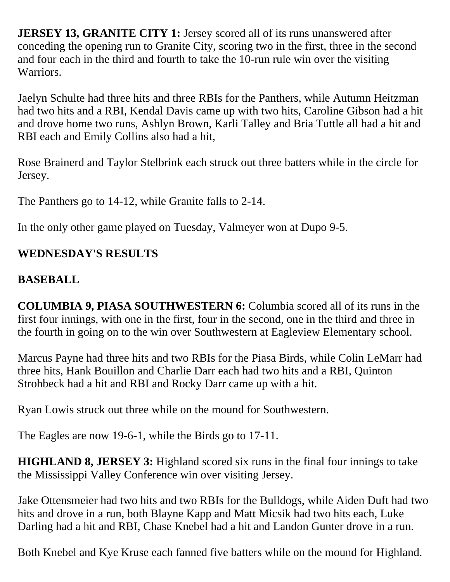**JERSEY 13, GRANITE CITY 1:** Jersey scored all of its runs unanswered after conceding the opening run to Granite City, scoring two in the first, three in the second and four each in the third and fourth to take the 10-run rule win over the visiting Warriors.

Jaelyn Schulte had three hits and three RBIs for the Panthers, while Autumn Heitzman had two hits and a RBI, Kendal Davis came up with two hits, Caroline Gibson had a hit and drove home two runs, Ashlyn Brown, Karli Talley and Bria Tuttle all had a hit and RBI each and Emily Collins also had a hit,

Rose Brainerd and Taylor Stelbrink each struck out three batters while in the circle for Jersey.

The Panthers go to 14-12, while Granite falls to 2-14.

In the only other game played on Tuesday, Valmeyer won at Dupo 9-5.

#### **WEDNESDAY'S RESULTS**

### **BASEBALL**

**COLUMBIA 9, PIASA SOUTHWESTERN 6:** Columbia scored all of its runs in the first four innings, with one in the first, four in the second, one in the third and three in the fourth in going on to the win over Southwestern at Eagleview Elementary school.

Marcus Payne had three hits and two RBIs for the Piasa Birds, while Colin LeMarr had three hits, Hank Bouillon and Charlie Darr each had two hits and a RBI, Quinton Strohbeck had a hit and RBI and Rocky Darr came up with a hit.

Ryan Lowis struck out three while on the mound for Southwestern.

The Eagles are now 19-6-1, while the Birds go to 17-11.

**HIGHLAND 8, JERSEY 3:** Highland scored six runs in the final four innings to take the Mississippi Valley Conference win over visiting Jersey.

Jake Ottensmeier had two hits and two RBIs for the Bulldogs, while Aiden Duft had two hits and drove in a run, both Blayne Kapp and Matt Micsik had two hits each, Luke Darling had a hit and RBI, Chase Knebel had a hit and Landon Gunter drove in a run.

Both Knebel and Kye Kruse each fanned five batters while on the mound for Highland.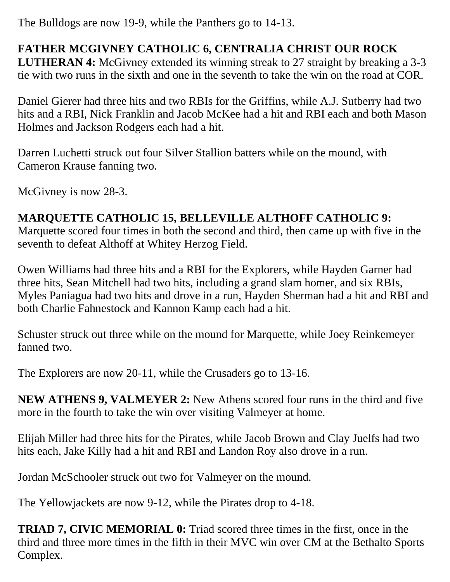The Bulldogs are now 19-9, while the Panthers go to 14-13.

## **FATHER MCGIVNEY CATHOLIC 6, CENTRALIA CHRIST OUR ROCK**

**LUTHERAN 4:** McGivney extended its winning streak to 27 straight by breaking a 3-3 tie with two runs in the sixth and one in the seventh to take the win on the road at COR.

Daniel Gierer had three hits and two RBIs for the Griffins, while A.J. Sutberry had two hits and a RBI, Nick Franklin and Jacob McKee had a hit and RBI each and both Mason Holmes and Jackson Rodgers each had a hit.

Darren Luchetti struck out four Silver Stallion batters while on the mound, with Cameron Krause fanning two.

McGivney is now 28-3.

## **MARQUETTE CATHOLIC 15, BELLEVILLE ALTHOFF CATHOLIC 9:**

Marquette scored four times in both the second and third, then came up with five in the seventh to defeat Althoff at Whitey Herzog Field.

Owen Williams had three hits and a RBI for the Explorers, while Hayden Garner had three hits, Sean Mitchell had two hits, including a grand slam homer, and six RBIs, Myles Paniagua had two hits and drove in a run, Hayden Sherman had a hit and RBI and both Charlie Fahnestock and Kannon Kamp each had a hit.

Schuster struck out three while on the mound for Marquette, while Joey Reinkemeyer fanned two.

The Explorers are now 20-11, while the Crusaders go to 13-16.

**NEW ATHENS 9, VALMEYER 2:** New Athens scored four runs in the third and five more in the fourth to take the win over visiting Valmeyer at home.

Elijah Miller had three hits for the Pirates, while Jacob Brown and Clay Juelfs had two hits each, Jake Killy had a hit and RBI and Landon Roy also drove in a run.

Jordan McSchooler struck out two for Valmeyer on the mound.

The Yellowjackets are now 9-12, while the Pirates drop to 4-18.

**TRIAD 7, CIVIC MEMORIAL 0:** Triad scored three times in the first, once in the third and three more times in the fifth in their MVC win over CM at the Bethalto Sports Complex.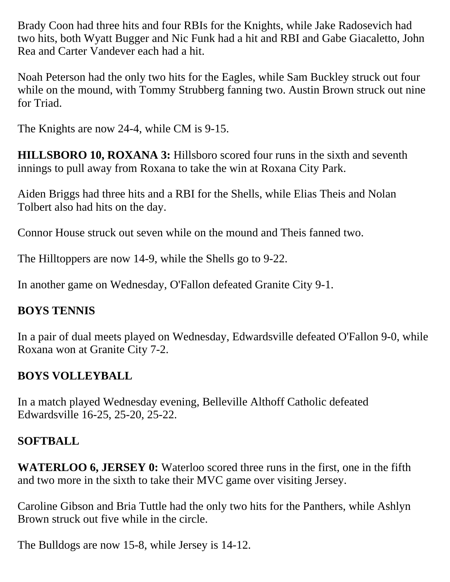Brady Coon had three hits and four RBIs for the Knights, while Jake Radosevich had two hits, both Wyatt Bugger and Nic Funk had a hit and RBI and Gabe Giacaletto, John Rea and Carter Vandever each had a hit.

Noah Peterson had the only two hits for the Eagles, while Sam Buckley struck out four while on the mound, with Tommy Strubberg fanning two. Austin Brown struck out nine for Triad.

The Knights are now 24-4, while CM is 9-15.

**HILLSBORO 10, ROXANA 3:** Hillsboro scored four runs in the sixth and seventh innings to pull away from Roxana to take the win at Roxana City Park.

Aiden Briggs had three hits and a RBI for the Shells, while Elias Theis and Nolan Tolbert also had hits on the day.

Connor House struck out seven while on the mound and Theis fanned two.

The Hilltoppers are now 14-9, while the Shells go to 9-22.

In another game on Wednesday, O'Fallon defeated Granite City 9-1.

#### **BOYS TENNIS**

In a pair of dual meets played on Wednesday, Edwardsville defeated O'Fallon 9-0, while Roxana won at Granite City 7-2.

## **BOYS VOLLEYBALL**

In a match played Wednesday evening, Belleville Althoff Catholic defeated Edwardsville 16-25, 25-20, 25-22.

## **SOFTBALL**

**WATERLOO 6, JERSEY 0:** Waterloo scored three runs in the first, one in the fifth and two more in the sixth to take their MVC game over visiting Jersey.

Caroline Gibson and Bria Tuttle had the only two hits for the Panthers, while Ashlyn Brown struck out five while in the circle.

The Bulldogs are now 15-8, while Jersey is 14-12.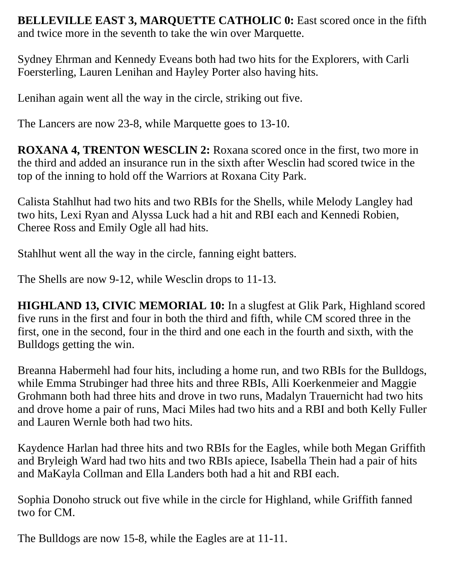**BELLEVILLE EAST 3, MARQUETTE CATHOLIC 0:** East scored once in the fifth and twice more in the seventh to take the win over Marquette.

Sydney Ehrman and Kennedy Eveans both had two hits for the Explorers, with Carli Foersterling, Lauren Lenihan and Hayley Porter also having hits.

Lenihan again went all the way in the circle, striking out five.

The Lancers are now 23-8, while Marquette goes to 13-10.

**ROXANA 4, TRENTON WESCLIN 2:** Roxana scored once in the first, two more in the third and added an insurance run in the sixth after Wesclin had scored twice in the top of the inning to hold off the Warriors at Roxana City Park.

Calista Stahlhut had two hits and two RBIs for the Shells, while Melody Langley had two hits, Lexi Ryan and Alyssa Luck had a hit and RBI each and Kennedi Robien, Cheree Ross and Emily Ogle all had hits.

Stahlhut went all the way in the circle, fanning eight batters.

The Shells are now 9-12, while Wesclin drops to 11-13.

**HIGHLAND 13, CIVIC MEMORIAL 10:** In a slugfest at Glik Park, Highland scored five runs in the first and four in both the third and fifth, while CM scored three in the first, one in the second, four in the third and one each in the fourth and sixth, with the Bulldogs getting the win.

Breanna Habermehl had four hits, including a home run, and two RBIs for the Bulldogs, while Emma Strubinger had three hits and three RBIs, Alli Koerkenmeier and Maggie Grohmann both had three hits and drove in two runs, Madalyn Trauernicht had two hits and drove home a pair of runs, Maci Miles had two hits and a RBI and both Kelly Fuller and Lauren Wernle both had two hits.

Kaydence Harlan had three hits and two RBIs for the Eagles, while both Megan Griffith and Bryleigh Ward had two hits and two RBIs apiece, Isabella Thein had a pair of hits and MaKayla Collman and Ella Landers both had a hit and RBI each.

Sophia Donoho struck out five while in the circle for Highland, while Griffith fanned two for CM.

The Bulldogs are now 15-8, while the Eagles are at 11-11.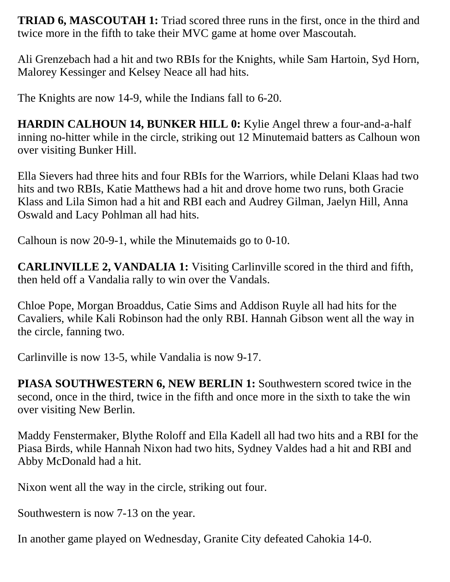**TRIAD 6, MASCOUTAH 1:** Triad scored three runs in the first, once in the third and twice more in the fifth to take their MVC game at home over Mascoutah.

Ali Grenzebach had a hit and two RBIs for the Knights, while Sam Hartoin, Syd Horn, Malorey Kessinger and Kelsey Neace all had hits.

The Knights are now 14-9, while the Indians fall to 6-20.

**HARDIN CALHOUN 14, BUNKER HILL 0:** Kylie Angel threw a four-and-a-half inning no-hitter while in the circle, striking out 12 Minutemaid batters as Calhoun won over visiting Bunker Hill.

Ella Sievers had three hits and four RBIs for the Warriors, while Delani Klaas had two hits and two RBIs, Katie Matthews had a hit and drove home two runs, both Gracie Klass and Lila Simon had a hit and RBI each and Audrey Gilman, Jaelyn Hill, Anna Oswald and Lacy Pohlman all had hits.

Calhoun is now 20-9-1, while the Minutemaids go to 0-10.

**CARLINVILLE 2, VANDALIA 1:** Visiting Carlinville scored in the third and fifth, then held off a Vandalia rally to win over the Vandals.

Chloe Pope, Morgan Broaddus, Catie Sims and Addison Ruyle all had hits for the Cavaliers, while Kali Robinson had the only RBI. Hannah Gibson went all the way in the circle, fanning two.

Carlinville is now 13-5, while Vandalia is now 9-17.

**PIASA SOUTHWESTERN 6, NEW BERLIN 1:** Southwestern scored twice in the second, once in the third, twice in the fifth and once more in the sixth to take the win over visiting New Berlin.

Maddy Fenstermaker, Blythe Roloff and Ella Kadell all had two hits and a RBI for the Piasa Birds, while Hannah Nixon had two hits, Sydney Valdes had a hit and RBI and Abby McDonald had a hit.

Nixon went all the way in the circle, striking out four.

Southwestern is now 7-13 on the year.

In another game played on Wednesday, Granite City defeated Cahokia 14-0.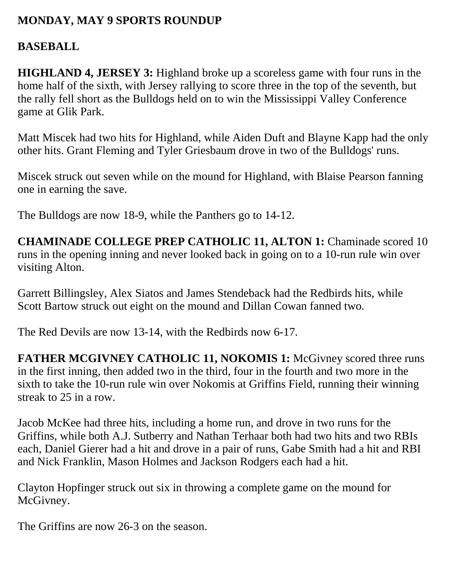#### **MONDAY, MAY 9 SPORTS ROUNDUP**

#### **BASEBALL**

**HIGHLAND 4, JERSEY 3:** Highland broke up a scoreless game with four runs in the home half of the sixth, with Jersey rallying to score three in the top of the seventh, but the rally fell short as the Bulldogs held on to win the Mississippi Valley Conference game at Glik Park.

Matt Miscek had two hits for Highland, while Aiden Duft and Blayne Kapp had the only other hits. Grant Fleming and Tyler Griesbaum drove in two of the Bulldogs' runs.

Miscek struck out seven while on the mound for Highland, with Blaise Pearson fanning one in earning the save.

The Bulldogs are now 18-9, while the Panthers go to 14-12.

**CHAMINADE COLLEGE PREP CATHOLIC 11, ALTON 1:** Chaminade scored 10 runs in the opening inning and never looked back in going on to a 10-run rule win over visiting Alton.

Garrett Billingsley, Alex Siatos and James Stendeback had the Redbirds hits, while Scott Bartow struck out eight on the mound and Dillan Cowan fanned two.

The Red Devils are now 13-14, with the Redbirds now 6-17.

FATHER MCGIVNEY CATHOLIC 11, NOKOMIS 1: McGivney scored three runs in the first inning, then added two in the third, four in the fourth and two more in the sixth to take the 10-run rule win over Nokomis at Griffins Field, running their winning streak to 25 in a row.

Jacob McKee had three hits, including a home run, and drove in two runs for the Griffins, while both A.J. Sutberry and Nathan Terhaar both had two hits and two RBIs each, Daniel Gierer had a hit and drove in a pair of runs, Gabe Smith had a hit and RBI and Nick Franklin, Mason Holmes and Jackson Rodgers each had a hit.

Clayton Hopfinger struck out six in throwing a complete game on the mound for McGivney.

The Griffins are now 26-3 on the season.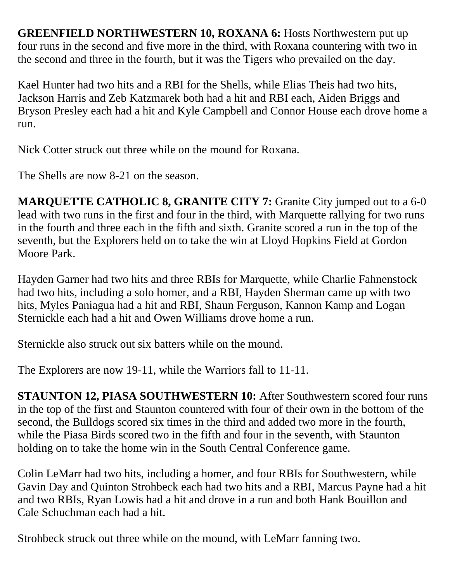**GREENFIELD NORTHWESTERN 10, ROXANA 6:** Hosts Northwestern put up four runs in the second and five more in the third, with Roxana countering with two in the second and three in the fourth, but it was the Tigers who prevailed on the day.

Kael Hunter had two hits and a RBI for the Shells, while Elias Theis had two hits, Jackson Harris and Zeb Katzmarek both had a hit and RBI each, Aiden Briggs and Bryson Presley each had a hit and Kyle Campbell and Connor House each drove home a run.

Nick Cotter struck out three while on the mound for Roxana.

The Shells are now 8-21 on the season.

**MARQUETTE CATHOLIC 8, GRANITE CITY 7:** Granite City jumped out to a 6-0 lead with two runs in the first and four in the third, with Marquette rallying for two runs in the fourth and three each in the fifth and sixth. Granite scored a run in the top of the seventh, but the Explorers held on to take the win at Lloyd Hopkins Field at Gordon Moore Park.

Hayden Garner had two hits and three RBIs for Marquette, while Charlie Fahnenstock had two hits, including a solo homer, and a RBI, Hayden Sherman came up with two hits, Myles Paniagua had a hit and RBI, Shaun Ferguson, Kannon Kamp and Logan Sternickle each had a hit and Owen Williams drove home a run.

Sternickle also struck out six batters while on the mound.

The Explorers are now 19-11, while the Warriors fall to 11-11.

**STAUNTON 12, PIASA SOUTHWESTERN 10:** After Southwestern scored four runs in the top of the first and Staunton countered with four of their own in the bottom of the second, the Bulldogs scored six times in the third and added two more in the fourth, while the Piasa Birds scored two in the fifth and four in the seventh, with Staunton holding on to take the home win in the South Central Conference game.

Colin LeMarr had two hits, including a homer, and four RBIs for Southwestern, while Gavin Day and Quinton Strohbeck each had two hits and a RBI, Marcus Payne had a hit and two RBIs, Ryan Lowis had a hit and drove in a run and both Hank Bouillon and Cale Schuchman each had a hit.

Strohbeck struck out three while on the mound, with LeMarr fanning two.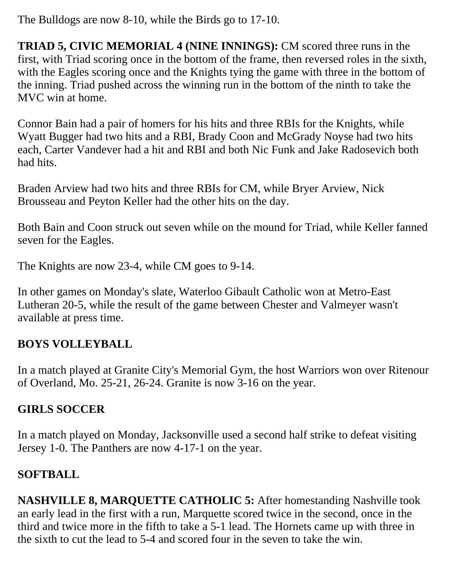The Bulldogs are now 8-10, while the Birds go to 17-10.

**TRIAD 5, CIVIC MEMORIAL 4 (NINE INNINGS):** CM scored three runs in the first, with Triad scoring once in the bottom of the frame, then reversed roles in the sixth, with the Eagles scoring once and the Knights tying the game with three in the bottom of the inning. Triad pushed across the winning run in the bottom of the ninth to take the MVC win at home.

Connor Bain had a pair of homers for his hits and three RBIs for the Knights, while Wyatt Bugger had two hits and a RBI, Brady Coon and McGrady Noyse had two hits each, Carter Vandever had a hit and RBI and both Nic Funk and Jake Radosevich both had hits.

Braden Arview had two hits and three RBIs for CM, while Bryer Arview, Nick Brousseau and Peyton Keller had the other hits on the day.

Both Bain and Coon struck out seven while on the mound for Triad, while Keller fanned seven for the Eagles.

The Knights are now 23-4, while CM goes to 9-14.

In other games on Monday's slate, Waterloo Gibault Catholic won at Metro-East Lutheran 20-5, while the result of the game between Chester and Valmeyer wasn't available at press time.

## **BOYS VOLLEYBALL**

In a match played at Granite City's Memorial Gym, the host Warriors won over Ritenour of Overland, Mo. 25-21, 26-24. Granite is now 3-16 on the year.

## **GIRLS SOCCER**

In a match played on Monday, Jacksonville used a second half strike to defeat visiting Jersey 1-0. The Panthers are now 4-17-1 on the year.

## **SOFTBALL**

**NASHVILLE 8, MARQUETTE CATHOLIC 5:** After homestanding Nashville took an early lead in the first with a run, Marquette scored twice in the second, once in the third and twice more in the fifth to take a 5-1 lead. The Hornets came up with three in the sixth to cut the lead to 5-4 and scored four in the seven to take the win.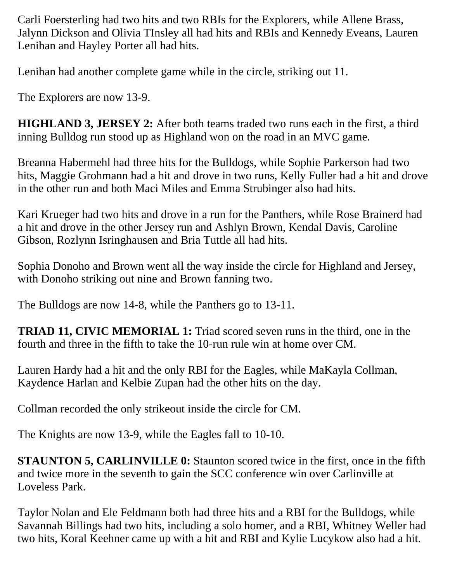Carli Foersterling had two hits and two RBIs for the Explorers, while Allene Brass, Jalynn Dickson and Olivia TInsley all had hits and RBIs and Kennedy Eveans, Lauren Lenihan and Hayley Porter all had hits.

Lenihan had another complete game while in the circle, striking out 11.

The Explorers are now 13-9.

**HIGHLAND 3, JERSEY 2:** After both teams traded two runs each in the first, a third inning Bulldog run stood up as Highland won on the road in an MVC game.

Breanna Habermehl had three hits for the Bulldogs, while Sophie Parkerson had two hits, Maggie Grohmann had a hit and drove in two runs, Kelly Fuller had a hit and drove in the other run and both Maci Miles and Emma Strubinger also had hits.

Kari Krueger had two hits and drove in a run for the Panthers, while Rose Brainerd had a hit and drove in the other Jersey run and Ashlyn Brown, Kendal Davis, Caroline Gibson, Rozlynn Isringhausen and Bria Tuttle all had hits.

Sophia Donoho and Brown went all the way inside the circle for Highland and Jersey, with Donoho striking out nine and Brown fanning two.

The Bulldogs are now 14-8, while the Panthers go to 13-11.

**TRIAD 11, CIVIC MEMORIAL 1:** Triad scored seven runs in the third, one in the fourth and three in the fifth to take the 10-run rule win at home over CM.

Lauren Hardy had a hit and the only RBI for the Eagles, while MaKayla Collman, Kaydence Harlan and Kelbie Zupan had the other hits on the day.

Collman recorded the only strikeout inside the circle for CM.

The Knights are now 13-9, while the Eagles fall to 10-10.

**STAUNTON 5, CARLINVILLE 0:** Staunton scored twice in the first, once in the fifth and twice more in the seventh to gain the SCC conference win over Carlinville at Loveless Park.

Taylor Nolan and Ele Feldmann both had three hits and a RBI for the Bulldogs, while Savannah Billings had two hits, including a solo homer, and a RBI, Whitney Weller had two hits, Koral Keehner came up with a hit and RBI and Kylie Lucykow also had a hit.